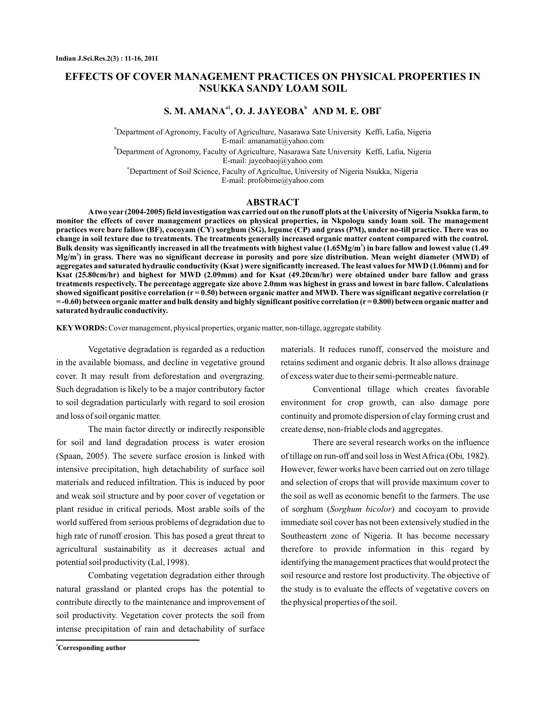# **EFFECTS OF COVER MANAGEMENT PRACTICES ON PHYSICAL PROPERTIES IN NSUKKA SANDY LOAM SOIL**

## **S. M. AMANA<sup>a1</sup>, O. J. JAYEOBA<sup>b</sup> AND M. E. OBI<sup>c</sup>**

a Department of Agronomy, Faculty of Agriculture, Nasarawa Sate University Keffi, Lafia, Nigeria b Department of Agronomy, Faculty of Agriculture, Nasarawa Sate University Keffi, Lafia, Nigeria E-mail: amanamat@yahoo.com

E-mail: jayeobaoj@yahoo.com

c Department of Soil Science, Faculty of Agricultue, University of Nigeria Nsukka, Nigeria E-mail: profobime@yahoo.com

## **ABSTRACT**

**Atwo year (2004-2005) field investigation was carried out on the runoff plots at the University of Nigeria Nsukka farm, to monitor the effects of cover management practices on physical properties, in Nkpologu sandy loam soil. The management practices were bare fallow (BF), cocoyam (CY) sorghum (SG), legume (CP) and grass (PM), under no-till practice. There was no change in soil texture due to treatments. The treatments generally increased organic matter content compared with the control. Bulk density was significantly increased in all the treatments with highest value (1.65Mg/m ) in bare fallow and lowest value (1.49 3 Mg/m ) in grass. There was no significant decrease in porosity and pore size distribution. Mean weight diameter (MWD) of 3 aggregates and saturated hydraulic conductivity (Ksat ) were significantly increased. The least values for MWD (1.06mm) and for Ksat (25.80cm/hr) and highest for MWD (2.09mm) and for Ksat (49.20cm/hr) were obtained under bare fallow and grass treatments respectively. The percentage aggregate size above 2.0mm was highest in grass and lowest in bare fallow. Calculations showed significant positive correlation (r = 0.50) between organic matter and MWD. There was significant negative correlation (r = -0.60) between organic matter and bulk density and highly significant positive correlation (r = 0.800) between organic matter and saturated hydraulic conductivity.**

KEY WORDS: Cover management, physical properties, organic matter, non-tillage, aggregate stability

Vegetative degradation is regarded as a reduction in the available biomass, and decline in vegetative ground cover. It may result from deforestation and overgrazing. Such degradation is likely to be a major contributory factor to soil degradation particularly with regard to soil erosion and loss of soil organic matter.

The main factor directly or indirectly responsible for soil and land degradation process is water erosion (Spaan, 2005). The severe surface erosion is linked with intensive precipitation, high detachability of surface soil materials and reduced infiltration. This is induced by poor and weak soil structure and by poor cover of vegetation or plant residue in critical periods. Most arable soils of the world suffered from serious problems of degradation due to high rate of runoff erosion. This has posed a great threat to agricultural sustainability as it decreases actual and potential soil productivity (Lal, 1998).

Combating vegetation degradation either through natural grassland or planted crops has the potential to contribute directly to the maintenance and improvement of soil productivity. Vegetation cover protects the soil from intense precipitation of rain and detachability of surface

materials. It reduces runoff, conserved the moisture and retains sediment and organic debris. It also allows drainage of excess water due to their semi-permeable nature.

Conventional tillage which creates favorable environment for crop growth, can also damage pore continuity and promote dispersion of clay forming crust and create dense, non-friable clods and aggregates.

There are several research works on the influence of tillage on run-off and soil loss in West Africa (Obi, 1982). However, fewer works have been carried out on zero tillage and selection of crops that will provide maximum cover to the soil as well as economic benefit to the farmers. The use of sorghum (Sorghum bicolor) and cocoyam to provide immediate soil cover has not been extensively studied in the Southeastern zone of Nigeria. It has become necessary therefore to provide information in this regard by identifying the management practices that would protect the soil resource and restore lost productivity. The objective of the study is to evaluate the effects of vegetative covers on the physical properties of the soil.

**<sup>1</sup>Corresponding author**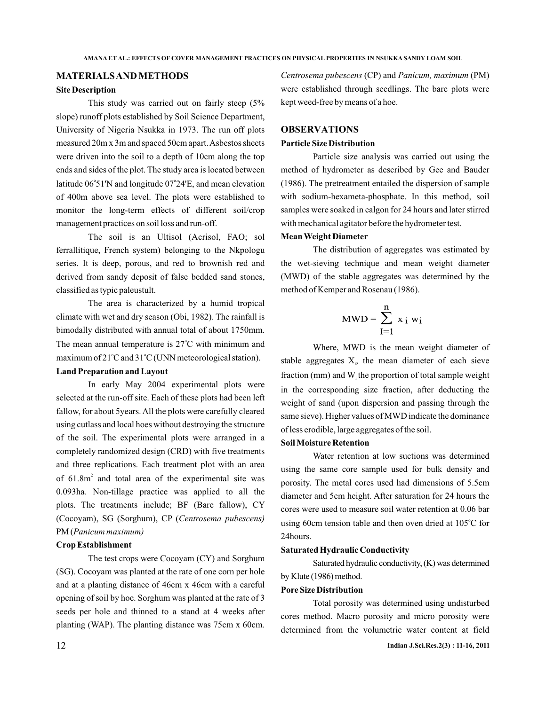### **MATERIALSAND METHODS**

#### **Site Description**

latitude 06°51'N and longitude 07°24'E, and mean elevation This study was carried out on fairly steep (5% slope) runoff plots established by Soil Science Department, University of Nigeria Nsukka in 1973. The run off plots measured 20m x 3m and spaced 50cm apart.Asbestos sheets were driven into the soil to a depth of 10cm along the top ends and sides of the plot. The study area is located between of 400m above sea level. The plots were established to monitor the long-term effects of different soil/crop management practices on soil loss and run-off.

The soil is an Ultisol (Acrisol, FAO; sol ferrallitique, French system) belonging to the Nkpologu series. It is deep, porous, and red to brownish red and derived from sandy deposit of false bedded sand stones, classified as typic paleustult.

The mean annual temperature is 27°C with minimum and maximum of 21°C and 31°C (UNN meteorological station). The area is characterized by a humid tropical climate with wet and dry season (Obi, 1982). The rainfall is bimodally distributed with annual total of about 1750mm.

## **Land Preparation and Layout**

of  $61.8m<sup>2</sup>$  and total area of the experimental site was In early May 2004 experimental plots were selected at the run-off site. Each of these plots had been left fallow, for about 5years. All the plots were carefully cleared using cutlass and local hoes without destroying the structure of the soil. The experimental plots were arranged in a completely randomized design (CRD) with five treatments and three replications. Each treatment plot with an area 0.093ha. Non-tillage practice was applied to all the plots. The treatments include; BF (Bare fallow), CY (Cocoyam), SG (Sorghum), CP ( *Centrosema pubescens)* PM ( *Panicum maximum)*

### **Crop Establishment**

The test crops were Cocoyam (CY) and Sorghum (SG). Cocoyam was planted at the rate of one corn per hole and at a planting distance of 46cm x 46cm with a careful opening of soil by hoe. Sorghum was planted at the rate of 3 seeds per hole and thinned to a stand at 4 weeks after planting (WAP). The planting distance was 75cm x 60cm.

*Centrosema pubescens (CP)* and *Panicum, maximum (PM)* were established through seedlings. The bare plots were kept weed-free by means of a hoe.

### **OBSERVATIONS**

#### **Particle Size Distribution**

Particle size analysis was carried out using the method of hydrometer as described by Gee and Bauder (1986). The pretreatment entailed the dispersion of sample with sodium-hexameta-phosphate. In this method, soil samples were soaked in calgon for 24 hours and later stirred with mechanical agitator before the hydrometer test.

## **Mean Weight Diameter**

The distribution of aggregates was estimated by the wet-sieving technique and mean weight diameter (MWD) of the stable aggregates was determined by the method of Kemper and Rosenau (1986).

$$
MWD = \sum_{I=1}^{n} x_i w_i
$$

stable aggregates  $X_i$ , the mean diameter of each sieve fraction (mm) and  $W_i$  the proportion of total sample weight Where, MWD is the mean weight diameter of in the corresponding size fraction, after deducting the weight of sand (upon dispersion and passing through the same sieve). Higher values of MWD indicate the dominance of less erodible, large aggregates of the soil.

### **Soil Moisture Retention**

Water retention at low suctions was determined using the same core sample used for bulk density and porosity. The metal cores used had dimensions of 5.5cm diameter and 5cm height. After saturation for 24 hours the cores were used to measure soil water retention at 0.06 bar using 60cm tension table and then oven dried at 105°C for 24hours.

#### **Saturated Hydraulic Conductivity**

Saturated hydraulic conductivity, (K) was determined by Klute (1986) method.

### **Pore Size Distribution**

Total porosity was determined using undisturbed cores method. Macro porosity and micro porosity were determined from the volumetric water content at field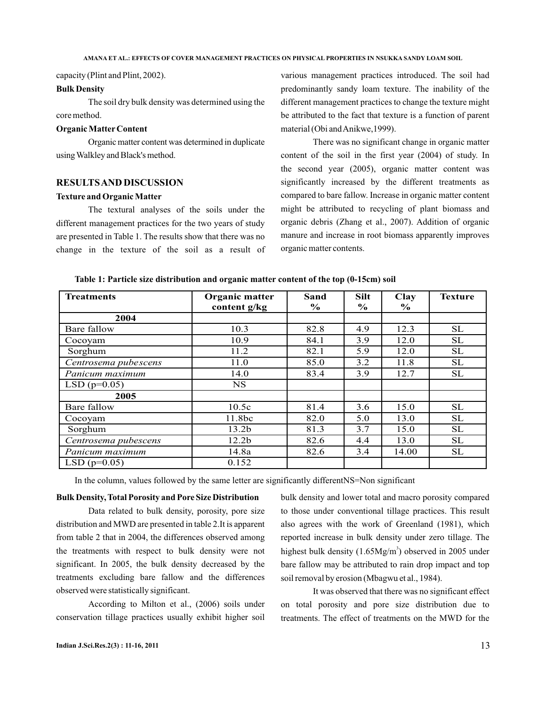capacity (Plint and Plint, 2002).

#### **Bulk Density**

The soil dry bulk density was determined using the core method.

#### **Organic Matter Content**

Organic matter content was determined in duplicate using Walkley and Black's method.

### **RESULTSAND DISCUSSION**

#### **Texture and Organic Matter**

The textural analyses of the soils under the different management practices for the two years of study are presented in Table 1. The results show that there was no change in the texture of the soil as a result of various management practices introduced. The soil had predominantly sandy loam texture. The inability of the different management practices to change the texture might be attributed to the fact that texture is a function of parent material (Obi andAnikwe,1999).

There was no significant change in organic matter content of the soil in the first year (2004) of study. In the second year (2005), organic matter content was significantly increased by the different treatments as compared to bare fallow. Increase in organic matter content might be attributed to recycling of plant biomass and organic debris (Zhang et al., 2007). Addition of organic manure and increase in root biomass apparently improves organic matter contents.

| Table 1: Particle size distribution and organic matter content of the top (0-15cm) soil |  |  |
|-----------------------------------------------------------------------------------------|--|--|
|-----------------------------------------------------------------------------------------|--|--|

| <b>Treatments</b>    | Organic matter<br>content g/kg | Sand<br>$\%$ | <b>Silt</b><br>$\frac{6}{10}$ | Clay<br>$\%$ | <b>Texture</b> |
|----------------------|--------------------------------|--------------|-------------------------------|--------------|----------------|
| 2004                 |                                |              |                               |              |                |
| Bare fallow          | 10.3                           | 82.8         | 4.9                           | 12.3         | <b>SL</b>      |
| Cocoyam              | 10.9                           | 84.1         | 3.9                           | 12.0         | <b>SL</b>      |
| Sorghum              | 11.2                           | 82.1         | 5.9                           | 12.0         | <b>SL</b>      |
| Centrosema pubescens | 11.0                           | 85.0         | 3.2                           | 11.8         | <b>SL</b>      |
| Panicum maximum      | 14.0                           | 83.4         | 3.9                           | 12.7         | SL             |
| $LSD(p=0.05)$        | <b>NS</b>                      |              |                               |              |                |
| 2005                 |                                |              |                               |              |                |
| Bare fallow          | 10.5c                          | 81.4         | 3.6                           | 15.0         | <b>SL</b>      |
| Cocoyam              | 11.8bc                         | 82.0         | 5.0                           | 13.0         | <b>SL</b>      |
| Sorghum              | 13.2 <sub>b</sub>              | 81.3         | 3.7                           | 15.0         | <b>SL</b>      |
| Centrosema pubescens | 12.2 <sub>b</sub>              | 82.6         | 4.4                           | 13.0         | <b>SL</b>      |
| Panicum maximum      | 14.8a                          | 82.6         | 3.4                           | 14.00        | <b>SL</b>      |
| LSD ( $p=0.05$ )     | 0.152                          |              |                               |              |                |

In the column, values followed by the same letter are significantly differentNS=Non significant

#### **Bulk Density, Total Porosity and Pore Size Distribution**

Data related to bulk density, porosity, pore size distribution and MWD are presented in table 2.It is apparent from table 2 that in 2004, the differences observed among the treatments with respect to bulk density were not significant. In 2005, the bulk density decreased by the treatments excluding bare fallow and the differences observed were statistically significant.

According to Milton et al., (2006) soils under conservation tillage practices usually exhibit higher soil bulk density and lower total and macro porosity compared to those under conventional tillage practices. This result also agrees with the work of Greenland (1981), which reported increase in bulk density under zero tillage. The highest bulk density  $(1.65Mg/m<sup>3</sup>)$  observed in 2005 under bare fallow may be attributed to rain drop impact and top soil removal by erosion (Mbagwu et al., 1984).

It was observed that there was no significant effect on total porosity and pore size distribution due to treatments. The effect of treatments on the MWD for the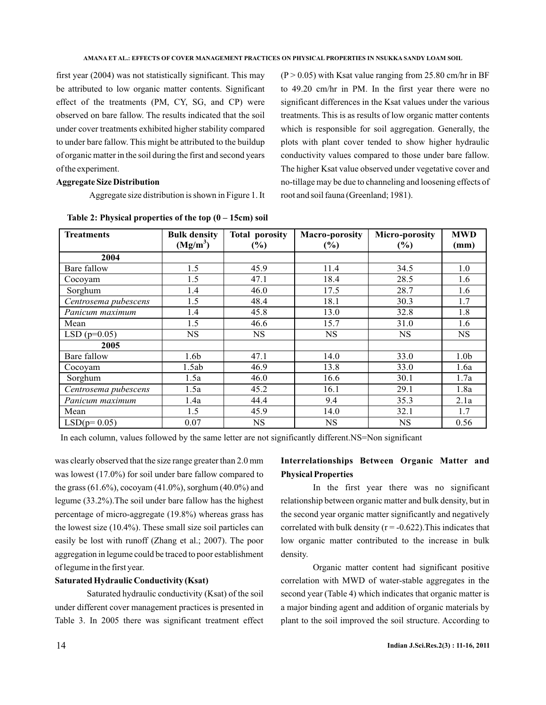first year (2004) was not statistically significant. This may be attributed to low organic matter contents. Significant effect of the treatments (PM, CY, SG, and CP) were observed on bare fallow. The results indicated that the soil under cover treatments exhibited higher stability compared to under bare fallow. This might be attributed to the buildup of organic matter in the soil during the first and second years of the experiment.

### **Aggregate Size Distribution**

Aggregate size distribution is shown in Figure 1. It

**Treatments** Bulk density **(Mg/m<sup>3</sup> ) Total porosity (%) Macro-porosity (%) Micro-porosity (%) MWD (mm) 2004** Bare fallow 1.5 1.5 45.9 11.4 34.5 1.0 Cocoyam 1.5 1.5 47.1 18.4 28.5 1.6 Sorghum 1.4 1.4 46.0 17.5 28.7 1.6 *Centrosema pubescens* 1.5 48.4 18.1 30.3 1.7 *Panicum maximum* 1.4 1.5.8 13.0 32.8 1.8 Mean 1.5 1.5 46.6 15.7 31.0 1.6  $LSD(p=0.05)$  NS NS NS NS NS NS **2005** Bare fallow 1.6b 1 47.1 14.0 33.0 1.0b Cocoyam 1.5ab 46.9 13.8 33.0 1.6a Sorghum 1.5a 46.0 16.6 30.1 1.7a *Centrosema pubescens* 1.5a 45.2 16.1 29.1 1.8a *Panicum maximum* 1.4a 1 44.4 9.4 35.3 2.1a Mean 1.5 1.5 45.9 14.0 32.1 1.7  $LSD(p=0.05)$  0.07 | NS NS NS NS 0.56

**Table 2: Physical properties of the top (0 – 15cm) soil**

In each column, values followed by the same letter are not significantly different.NS=Non significant

was clearly observed that the size range greater than 2.0 mm was lowest (17.0%) for soil under bare fallow compared to the grass (61.6%), cocoyam (41.0%), sorghum (40.0%) and legume (33.2%).The soil under bare fallow has the highest percentage of micro-aggregate (19.8%) whereas grass has the lowest size (10.4%). These small size soil particles can easily be lost with runoff (Zhang et al.; 2007). The poor aggregation in legume could be traced to poor establishment of legume in the first year.

### **Saturated Hydraulic Conductivity (Ksat)**

Saturated hydraulic conductivity (Ksat) of the soil under different cover management practices is presented in Table 3. In 2005 there was significant treatment effect

## **Interrelationships Between Organic Matter and Physical Properties**

 $(P > 0.05)$  with Ksat value ranging from 25.80 cm/hr in BF to 49.20 cm/hr in PM. In the first year there were no significant differences in the Ksat values under the various treatments. This is as results of low organic matter contents which is responsible for soil aggregation. Generally, the plots with plant cover tended to show higher hydraulic conductivity values compared to those under bare fallow. The higher Ksat value observed under vegetative cover and no-tillage may be due to channeling and loosening effects of

root and soil fauna (Greenland; 1981).

In the first year there was no significant relationship between organic matter and bulk density, but in the second year organic matter significantly and negatively correlated with bulk density ( $r = -0.622$ ). This indicates that low organic matter contributed to the increase in bulk density.

Organic matter content had significant positive correlation with MWD of water-stable aggregates in the second year (Table 4) which indicates that organic matter is a major binding agent and addition of organic materials by plant to the soil improved the soil structure. According to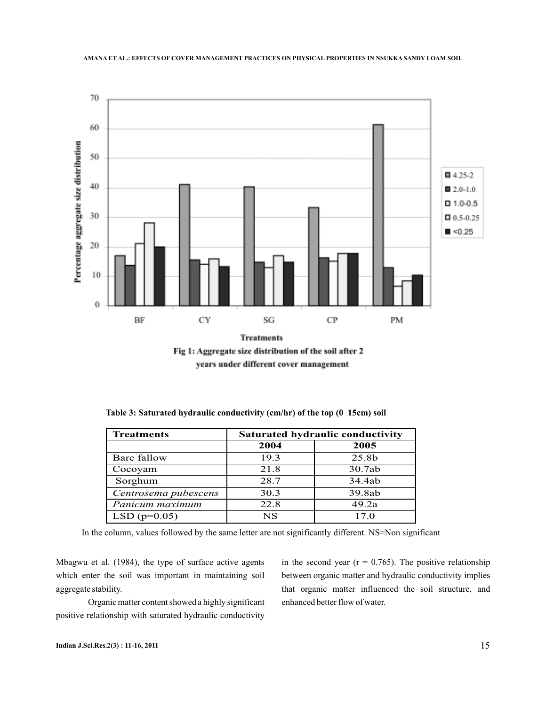

Fig 1: Aggregate size distribution of the soil after 2 years under different cover management

| <b>Treatments</b>    | Saturated hydraulic conductivity |        |  |
|----------------------|----------------------------------|--------|--|
|                      | 2004                             | 2005   |  |
| Bare fallow          | 19.3                             | 25.8b  |  |
| Cocoyam              | 21.8                             | 30.7ab |  |
| Sorghum              | 28.7                             | 34.4ab |  |
| Centrosema pubescens | 30.3                             | 39.8ab |  |
| Panicum maximum      | 22.8                             | 49.2a  |  |
| LSD ( $p=0.05$ )     | <b>NS</b>                        | 17.0   |  |

**Table 3: Saturated hydraulic conductivity (cm/hr) of the top (0 15cm) soil**

In the column, values followed by the same letter are not significantly different. NS=Non significant

Mbagwu et al. (1984), the type of surface active agents which enter the soil was important in maintaining soil aggregate stability.

Organic matter content showed a highly significant positive relationship with saturated hydraulic conductivity

in the second year ( $r = 0.765$ ). The positive relationship between organic matter and hydraulic conductivity implies that organic matter influenced the soil structure, and enhanced better flow of water.